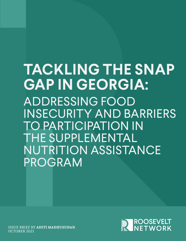# **TACKLING THE SNAP GAP IN GEORGIA:**  ADDRESSING FOOD INSECURITY AND BARRIERS TO PARTICIPATION IN THE SUPPLEMENTAL NUTRITION ASSISTANCE PROGRAM

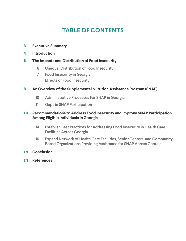# **TABLE OF CONTENTS**

- **3 Executive Summary**
- **4 Introduction**

#### **6 The Impacts and Distribution of Food Insecurity**

- 6 Unequal Distribution of Food Insecurity
- 7 Food Insecurity in Georgia Effects of Food Insecurity

#### **8 An Overview of the Supplemental Nutrition Assistance Program (SNAP)**

- 10 Administrative Processes For SNAP in Georgia
- 11 Gaps in SNAP Participation

#### **1 3 Recommendations to Address Food Insecurity and Improve SNAP Participation Among Eligible Individuals in Georgia**

- Establish Best Practices for Addressing Food Insecurity in Health Care Facilities Across Georgia 14
- Expand Network of Health Care Facilities, Senior Centers, and Community-Based Organizations Providing Assistance for SNAP Across Georgia 16
- **1 9 Conclusion**
- **2 1 References**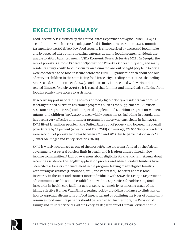# **EXECUTIVE SUMMARY**

Food insecurity is classified by the United States Department of Agriculture (USDA) as a condition in which access to adequate food is limited or uncertain (USDA Economic Research Service 2021). Very low food security is characterized by decreased food intake and by repeated disruptions in eating patterns, as many food insecure individuals are unable to afford balanced meals (USDA Economic Research Service 2021). In Georgia, the rate of poverty is almost 15 percent (Spotlight on Poverty & Opportunity n.d.), and many residents struggle with food insecurity. An estimated one out of eight people in Georgia were considered to be food insecure before the COVID-19 pandemic, with about one out of every six children in the state facing food insecurity (Feeding America 2021b; Feeding America n.d.c; Gundersen et al. 2020). Food insecurity is associated with various dietrelated illnesses (Murthy 2016), so it is crucial that families and individuals suffering from food insecurity have access to assistance.

To receive support in obtaining sources of food, eligible Georgia residents can enroll in federally funded nutrition assistance programs, such as the Supplemental Nutrition Assistance Program (SNAP) and the Special Supplemental Nutrition Program for Women, Infants, and Children (WIC). SNAP is used widely across the US, including in Georgia, and has been a very effective anti-hunger program for those who participate in it. In 2015, SNAP lifted 8.4 million people in the United States out of poverty and lowered the overall poverty rate by 17 percent (Wheaton and Tran 2018). On average, 322,000 Georgia residents were kept out of poverty each year between 2013 and 2017 due to participation in SNAP (Center on Budget and Policy Priorities 2021b).

SNAP is widely recognized as one of the most effective programs funded by the federal government, yet several barriers limit its reach, and it is often underutilized in lowincome communities. A lack of awareness about eligibility for the program, stigma about receiving assistance, the lengthy application process, and administrative burdens have been cited as barriers for enrollment in the program, leaving many eligible families without any assistance (FitzSimons, Weill, and Parker n.d.). To better address food insecurity in the state and connect more individuals with SNAP, the Georgia Department of Community Health should establish statewide best practices for addressing food insecurity in health care facilities across Georgia, namely by promoting usage of the highly effective Hunger Vital Sign screening tool, by providing guidance to clinicians on how to approach discussions on food insecurity, and by outlining the types of community resources food insecure patients should be referred to. Furthermore, the Division of Family and Children Services within Georgia's Department of Human Services should

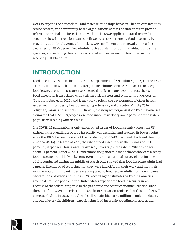work to expand the network of—and foster relationships between—health care facilities, senior centers, and community-based organizations across the state that can provide referrals or critical on-site assistance with initial SNAP applications and renewals. Together, these interventions can benefit Georgians experiencing food insecurity by providing additional avenues for initial SNAP enrollment and renewals, increasing awareness of SNAP, decreasing administrative burdens for both individuals and state agencies, and reducing the stigma associated with experiencing food insecurity and receiving SNAP benefits.

# **INTRODUCTION**

Food insecurity—which the United States Department of Agriculture (USDA) characterizes as a condition in which households experience "limited or uncertain access to adequate food" (USDA Economic Research Service 2021)—affects many people across the US. Food insecurity is associated with a higher risk of stress and symptoms of depression (Pourmotabbed et al. 2020), and it may play a role in the development of other health issues, including obesity, heart disease, hypertension, and diabetes (Murthy 2016; Seligman, Laraia, and Kushel 2010). In 2019, the nonprofit organization Feeding America estimated that 1,279,310 people were food insecure in Georgia—12 percent of the state's population (Feeding America n.d.c).

The COVID-19 pandemic has only exacerbated issues of food insecurity across the US. Although the overall rate of food insecurity was declining and reached its lowest point since the 1990s before the start of the pandemic, COVID-19 disrupted this trend (Feeding America 2021a). In March of 2020, the rate of food insecurity in the US was about 38 percent (Fitzpatrick, Harris, and Drawve n.d.)—over triple the rate in 2018, which was about 11 percent (Bauer 2020). Furthermore, the pandemic made those who were already food insecure more likely to become even more so—a national survey of low-income adults conducted during the middle of March 2020 showed that food insecure adults had a greater likelihood of reporting that they were laid off from their work and that their income would significantly decrease compared to food secure adults from low-income backgrounds (Wolfson and Leung 2020). According to estimates by Feeding America, around 45 million people in the United States experienced food insecurity in 2020. Because of the federal response to the pandemic and better economic situation since the start of the COVID-19 crisis in the US, the organization projects that this number will decrease slightly in 2021, though will still remain high at 42 million people—including one out of every six children—experiencing food insecurity (Feeding America 2021a).

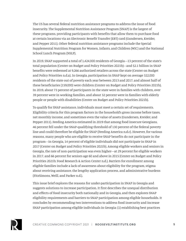The US has several federal nutrition assistance programs to address the issue of food insecurity. The Supplemental Nutrition Assistance Program (SNAP) is the largest of these programs, providing participants with benefits that allow them to purchase food at certain locations via an Electronic Benefit Transfer (EBT) card (Gundersen, Kreider, and Pepper 2011). Other federal nutrition assistance programs include the Special Supplemental Nutrition Program for Women, Infants, and Children (WIC) and the National School Lunch Program (NSLP).

In 2019, SNAP supported a total of 1,424,000 residents of Georgia—13 percent of the state's total population (Center on Budget and Policy Priorities 2021b)—and \$2.1 billion in SNAP benefits were redeemed at 9,266 authorized retailers across the state (Center on Budget and Policy Priorities n.d.a). In Georgia, participation in SNAP kept on average 322,000 residents of the state out of poverty each year between 2013 and 2017, and almost half of these beneficiaries (159,000) were children (Center on Budget and Policy Priorities 2021b). In 2019, about 73 percent of participants in the state were in families with children, over 39 percent were in working families, and about 32 percent were in families with elderly people or people with disabilities (Center on Budget and Policy Priorities 2021b).

To qualify for SNAP assistance, individuals must meet a certain set of requirements. Eligibility criteria for this program factors in the household's gross income before taxes, net monthly income, and sometimes even the value of assets (Gundersen, Kreider, and Pepper 2011). Feeding America estimated in 2019 that among food insecure Georgians, 46 percent fell under the SNAP-qualifying threshold of 130 percent of the federal poverty line and could therefore be eligible for SNAP (Feeding America n.d.c). However, for various reasons, many people who are eligible to receive SNAP benefits do not participate in the program—in Georgia, 14 percent of eligible individuals did not participate in SNAP in 2017 (Center on Budget and Policy Priorities 2021b). Among eligible workers and seniors in Georgia, the rate of non-participation was even higher—at 29 percent for eligible workers in 2017, and 66 percent for seniors age 60 and above in 2015 (Center on Budget and Policy Priorities 2021b; Food Research & Action Center n.d.). Barriers for enrollment among eligible families include a lack of awareness about eligibility for the program, stigma about receiving assistance, the lengthy application process, and administrative burdens (FitzSimons, Weill, and Parker n.d.).

This issue brief explores the reasons for under-participation in SNAP in Georgia and suggests solutions to increase participation. It first describes the unequal distribution and effects of food insecurity both nationally and in Georgia, and then explores SNAP eligibility requirements and barriers to SNAP participation among eligible households. It concludes by recommending two interventions to address food insecurity and increase SNAP participation among eligible individuals in Georgia: (1) establishing best practices

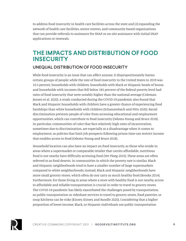to address food insecurity in health care facilities across the state and (2) expanding the network of health care facilities, senior centers, and community-based organizations that can provide referrals to assistance for SNAP or on-site assistance with initial SNAP applications or renewals.

## **THE IMPACTS AND DISTRIBUTION OF FOOD INSECURITY**

### UNEQUAL DISTRIBUTION OF FOOD INSECURITY

While food insecurity is an issue that can affect anyone, it disproportionately harms certain groups of people; while the rate of food insecurity in the United States in 2019 was 10.5 percent, households with children, households with Black or Hispanic heads of house, and households with incomes that fell below 185 percent of the federal poverty level had rates of food insecurity that were notably higher than the national average (Coleman-Jensen et al. 2020). A study conducted during the COVID-19 pandemic also found that Black and Hispanic households with children have a greater chance of experiencing food hardships than white households with children (Schanzenbach and Pitts 2020). Racial discrimination prevents people of color from accessing educational and employment opportunities, which can contribute to food insecurity (Odoms-Young and Bruce 2018). In particular, communities of color that face relatively high rates of incarceration, sometimes due to discrimination, are especially at a disadvantage when it comes to employment, as policies that limit job prospects following prison time can restrict income that enables access to food (Odoms-Young and Bruce 2018).

Household location can also have an impact on food insecurity, as those who reside in areas where a supermarket or comparable retailer that carries affordable, nutritious food is not nearby have difficulty accessing food (Ver Ploeg 2010). These areas are often referred to as food deserts. In communities in which the poverty rate is similar, Black and Hispanic neighborhoods tend to have a smaller number of large supermarkets compared to white neighborhoods; instead, Black and Hispanic neighborhoods have more small grocery stores, which often do not carry as much healthy food (Brooks 2014). Furthermore, for those living in areas where a store with healthy food is not nearby, access to affordable and reliable transportation is crucial in order to travel to grocery stores. The COVID-19 pandemic has likely exacerbated the challenges posed by transportation, as public transportation or rideshare services to travel to grocery stores, food pantries, or soup kitchens can be risky (Kinsey, Kinsey, and Rundle 2020). Considering that a higher proportion of lower-income, Black, or Hispanic individuals use public transportation

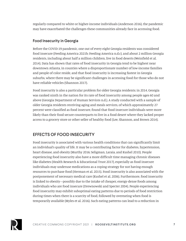regularly compared to white or higher-income individuals (Anderson 2016), the pandemic may have exacerbated the challenges these communities already face in accessing food.

### Food Insecurity in Georgia

Before the COVID-19 pandemic, one out of every eight Georgia residents was considered food insecure (Feeding America 2021b; Feeding America n.d.c), and about 2 million Georgia residents, including about half a million children, live in food deserts (Weinfield et al. 2014). Data has shown that rates of food insecurity in Georgia tend to be highest near downtown Atlanta, in counties where a disproportionate number of low-income families and people of color reside, and that food insecurity is increasing fastest in Georgia suburbs, where there may be significant challenges in accessing food for those who do not have reliable vehicles (Shannon 2017).

Food insecurity is also a particular problem for older Georgia residents; in 2014, Georgia was ranked ninth in the nation for its rate of food insecurity among people ages 60 and above (Georgia Department of Human Services n.d.). A study conducted with a sample of older Georgia residents receiving aging and meals services, of which approximately 27 percent were classified as food insecure, found that food insecure individuals were more likely than their food secure counterparts to live in a food desert where they lacked proper access to a grocery store or other seller of healthy food (Lee, Shannon, and Brown 2014).

### EFFECTS OF FOOD INSECURITY

Food insecurity is associated with various health conditions that can significantly limit an individual's quality of life. It may be a contributing factor for diabetes, hypertension, heart disease, and obesity (Murthy 2016; Seligman, Laraia, and Kushel 2010). People experiencing food insecurity also have a more difficult time managing chronic diseases like diabetes (Health Research & Educational Trust 2017), especially as food insecure individuals may underuse medications as a coping strategy for not having enough resources to purchase food (Herman et al. 2015). Food insecurity is also associated with the postponement of necessary medical care (Kushel et al. 2006). Furthermore, food insecurity is linked to obesity—possibly due to the intake of cheaper, energy-dense foods among individuals who are food insecure (Drewnowski and Specter 2004). People experiencing food insecurity may exhibit suboptimal eating patterns due to periods of food restriction during times when there is a scarcity of food, followed by overeating when food is temporarily available (Myles et al. 2016). Such eating patterns can lead to a reduction in

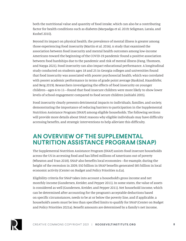both the nutritional value and quantity of food intake, which can also be a contributing factor for health conditions such as diabetes (Marpadga et al. 2019; Seligman, Laraia, and Kushel 2010).

Beyond its impact on physical health, the prevalence of mental illness is greater among those experiencing food insecurity (Martin et al. 2016). A study that examined the association between food insecurity and mental health outcomes among low-income Americans toward the beginning of the COVID-19 pandemic found a positive association between food hardships due to the pandemic and risk of mental illness (Fang, Thomsen, and Nayga 2021). Food insecurity can also impact educational performance. A longitudinal study conducted on students ages 18 and 25 in Georgia colleges and universities found that food insecurity was associated with poorer psychosocial health, which was correlated with poorer academic performance in terms of grade point average (Raskind, Haardörfer, and Berg 2019). Researchers investigating the effects of food insecurity on younger children—ages 6 to 11—found that food insecure children were more likely to show lower levels of school engagement compared to food secure children (Ashiabi 2005).

Food insecurity clearly presents detrimental impacts to individuals, families, and society, demonstrating the importance of reducing barriers to participation in the Supplemental Nutrition Assistance Program (SNAP) among eligible households. The following sections will provide more details about SNAP, reasons why eligible individuals may have difficulty accessing benefits, and strategic interventions to help alleviate this difficulty.

## **AN OVERVIEW OF THE SUPPLEMENTAL NUTRITION ASSISTANCE PROGRAM (SNAP)**

The Supplemental Nutrition Assistance Program (SNAP) assists food insecure households across the US in accessing food and has lifted millions of Americans out of poverty (Wheaton and Tran 2018). SNAP also benefits local economies—for example, during the height of the recession in 2009, \$50 billion in SNAP benefits generated \$85 billion in local economic activity (Center on Budget and Policy Priorities n.d.a).

Eligibility criteria for SNAP takes into account a household's gross income and net monthly income (Gundersen, Kreider, and Pepper 2011). In some states, the value of assets is considered as well (Gundersen, Kreider, and Pepper 2011). Net household income, which can be determined after accounting for the program's acceptable deductions based on specific circumstances, needs to be at or below the poverty line, and if applicable, a household's assets must be less than specified limits to qualify for SNAP (Center on Budget and Policy Priorities 2021a). Benefit amounts are determined by a family's net income,

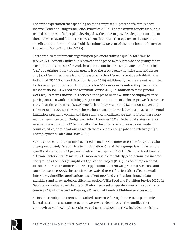under the expectation that spending on food comprises 30 percent of a family's net income (Center on Budget and Policy Priorities 2021a). The maximum benefit amount is related to the cost of a diet plan developed by the USDA to provide adequate nutrition at the smallest cost, and families receive a benefit amount that equates to the maximum benefit amount for their household size minus 30 percent of their net income (Center on Budget and Policy Priorities 2021a).

There are also requirements regarding employment status to qualify for SNAP. To receive SNAP benefits, individuals between the ages of 16 to 59 who do not qualify for an exemption must register for work, be a participant in SNAP Employment and Training (E&T) or workfare if they are assigned to it by the SNAP agency in their state, and accept any job offers unless there is a valid reason why the offer would not be suitable for the individual (USDA Food and Nutrition Service 2019). Additionally, people are not permitted to choose to quit jobs or cut their hours below 30 hours a week unless they have a valid reason to do so (USDA Food and Nutrition Service 2019). In addition to these general work requirements, individuals between the ages of 18 and 49 must be employed or be participants in a work or training program for a minimum of 20 hours per week to receive more than three months of SNAP benefits in a three-year period (Center on Budget and Policy Priorities 2021a). However, those who are unable to work due to a physical or mental limitation, pregnant women, and those living with children are exempt from these work requirements (Center on Budget and Policy Priorities 2021a). Individual states can also receive waivers from the USDA that allow for this rule to be temporarily suspended in counties, cities, or reservations in which there are not enough jobs and relatively high unemployment (Bolen and Dean 2018).

Various projects and programs have tried to make SNAP more accessible for groups who disproportionately face barriers to participation. One of these groups is eligible seniors age 60 and above, only 34 percent of whom participate in SNAP in Georgia (Food Research & Action Center 2019). To make SNAP more accessible for elderly people from low-income backgrounds, the Elderly Simplified Application Project (ESAP) has been implemented in some states to streamline the SNAP application and renewal process (USDA Food and Nutrition Service 2020). The ESAP involves waived recertification (also called renewal) interviews, simplified applications, less client-provided verification through data matching, and an extended certification period (USDA Food and Nutrition Service 2020). In Georgia, individuals over the age of 60 who meet a set of specific criteria may qualify for Senior SNAP, which is an ESAP (Georgia Division of Family & Children Services n.d.).

As food insecurity rates across the United States rose during the COVID-19 pandemic, federal nutrition assistance programs were expanded through the Families First Coronavirus Act (FFCA) (Kinsey, Kinsey, and Rundle 2020). The FFCA included provisions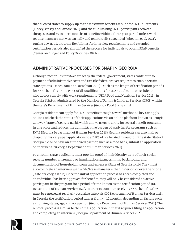that allowed states to supply up to the maximum benefit amount for SNAP allotments (Kinsey, Kinsey, and Rundle 2020), and the rule limiting SNAP participants between the ages 18 and 49 to three months of benefits within a three-year period unless work requirements are met was partially and temporarily suspended (Wheaton et al. 2021). During COVID-19, program flexibilities for interview requirements and extended certification periods also simplified the process for individuals to obtain SNAP benefits (Center on Budget and Policy Priorities 2021c).

### ADMINISTRATIVE PROCESSES FOR SNAP IN GEORGIA

Although most rules for SNAP are set by the federal government, states contribute to payment of administrative costs and can file federal waiver requests to enable certain state options (Isaacs, Katz, and Kassabian 2016)—such as the length of certification periods for SNAP benefits or the types of disqualifications for SNAP applicants or recipients who do not comply with work requirements (USDA Food and Nutrition Service 2013). In Georgia, SNAP is administered by the Division of Family & Children Services (DFCS) within the state's Department of Human Services (Georgia Food Stamps n.d.).

Georgia residents can apply for SNAP benefits through several methods. They can apply online and check the status of their applications via an online platform known as Georgia Gateway (State of Georgia n.d.b), which allows users to apply for several benefit programs in one place and reduces the administrative burden of applying for programs such as SNAP (Georgia Department of Human Services 2018). Georgia residents can also mail or drop off physical paper applications to a DFCS office located throughout the state (State of Georgia n.d.b), or have an authorized partner, such as a food bank, submit an application on their behalf (Georgia Department of Human Services 2021).

To enroll in SNAP, applicants must provide proof of their identity, date of birth, social security number, citizenship or immigration status, criminal background, and documentation of household income and expenses (State of Georgia n.d.b). They must also complete an interview with a DFCS case manager either in-person or over the phone (State of Georgia n.d.b). Once the initial application process has been completed and an individual has been approved for benefits, they will only be considered an active participant in the program for a period of time known as the certification period (DC Department of Human Services n.d.). In order to continue receiving SNAP benefits, they must be renewed at regularly occurring intervals (DC Department of Human Services n.d.). In Georgia, the certification period ranges from 4–12 months, depending on factors such as housing status, age, and occupation (Georgia Department of Human Services 2021). The renewal process is similar to the initial application in that it requires filing an application and completing an interview (Georgia Department of Human Services 2021).

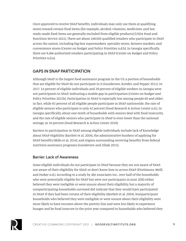Once approved to receive SNAP benefits, individuals may only use them at qualifying stores toward certain food items (for example, alcohol; vitamins; medicines; and hot, ready-made food items are generally excluded from eligible products) (USDA Food and Nutrition Service 2021). There are about 248,000 qualified retailers who participate in SNAP across the nation, including big-box supermarkets, specialty stores, farmers markets, and convenience stores (Center on Budget and Policy Priorities n.d.b). In Georgia specifically, there are 9,266 authorized retailers participating in SNAP (Center on Budget and Policy Priorities n.d.a).

#### GAPS IN SNAP PARTICIPATION

Although SNAP is the largest food assistance program in the US, a portion of households that are eligible for SNAP do not participate in it (Gundersen, Kreider, and Pepper 2011). In 2017, 14 percent of eligible individuals and 29 percent of eligible workers in Georgia were not participants in SNAP, indicating a sizable gap in participation (Center on Budget and Policy Priorities 2021b). Participation in SNAP is especially low among people 60 and older; in fact, while 83 percent of all eligible people participate in SNAP nationwide, the rate of eligible seniors who participate is only 42 percent (Food Research & Action Center n.d.). In Georgia specifically, about one-tenth of households with seniors deal with food insecurity, and the rate of eligible seniors who participate in SNAP is even lower than the national average, at 34 percent (Food Research & Action Center 2019).

Barriers to participation in SNAP among eligible individuals include lack of knowledge about SNAP eligibility (Bartlett et al. 2004), the administrative burdens of applying for SNAP benefits (Mills et al. 2014), and stigma surrounding receiving benefits from federal nutrition assistance programs (Gundersen and Ziliak 2015).

#### Barrier: Lack of Awareness

Some eligible individuals do not participate in SNAP because they are not aware of SNAP, not aware of their eligibility for SNAP, or don't know how to access SNAP (FitzSimons, Weill, and Parker n.d.). According to a study by Abt Associates Inc., over half of the households who were potentially eligible for SNAP but were not participants in June 2000 either believed they were ineligible or were unsure about their eligibility, but a majority of nonparticipating households surveyed did indicate that they would have participated in SNAP if they had been certain of their eligibility (Bartlett et al. 2004). Nonparticipant households who believed they were ineligible or were unsure about their eligibility were more likely to have incomes above the poverty line and were less likely to experience hunger and be food insecure in the prior year compared to households who believed they

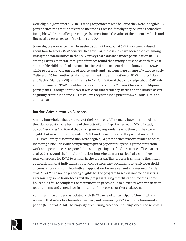were eligible (Bartlett et al. 2004). Among respondents who believed they were ineligible, 55 percent cited the amount of earned income as a reason for why they believed themselves ineligible, while a smaller percentage also mentioned the value of their owned vehicle and financial assets as reasons (Bartlett et al. 2004).

Some eligible nonparticipant households do not know what SNAP is or are confused about how to access SNAP benefits. In particular, these issues have been observed among immigrant communities in the US. A survey that examined under-participation in SNAP among Latinx American immigrant families found that among households with at least one eligible child that had no participating child, 16 percent did not know about SNAP, while 16 percent were unsure of how to apply and 4 percent were unsure of where to apply (Pelto et al. 2020). Another study that examined underutilization of SNAP among Asian and Pacific Islander (API) immigrants in California found that knowledge about CalFresh, another name for SNAP in California, was limited among Tongan, Chinese, and Filipino participants. Through interviews, it was clear that residency status and the limited assets eligibility criteria led some APIs to believe they were ineligible for SNAP (Louie, Kim, and Chan 2020).

#### Barrier: Administrative Burdens

Among households that are aware of their SNAP eligibility, many have mentioned that they do not participate because of the costs of applying (Bartlett et al. 2004). A study by Abt Associates Inc. found that among survey respondents who thought they were eligible but were nonparticipants in SNAP and those indicated they would not apply for SNAP even if they discovered they were eligible, 64 percent cited reasons related to costs, including difficulties with completing required paperwork, spending time away from work or dependent care responsibilities, and getting to a food assistance office (Bartlett et al. 2004). Beyond the initial application, households must periodically complete the renewal process for SNAP to remain in the program. This process is similar to the initial application in that individuals must provide necessary documents to verify household circumstances and complete both an application for renewal and an interview (Bartlett et al. 2004). While no longer being eligible for the program based on income or assets is a reason why some households exit the program during recertification months, some households fail to complete the recertification process due to difficulty with verification requirements and general confusion about the process (Bartlett et al. 2004).

Administrative burdens associated with SNAP can lead to participant "churn," which is a term that refers to a household exiting and re-entering SNAP within a four-month period (Mills et al. 2014). The majority of churning cases occur during scheduled renewals

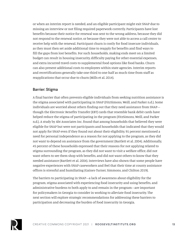or when an interim report is needed, and an eligible participant might exit SNAP due to missing an interview or not filing required paperwork correctly. Participants have lost benefits because their notice for renewal was sent to the wrong address, because they did not respond to the renewal notice, or because they were not able to access a call center to receive help with the renewal. Participant churn is costly for food insecure individuals, as they must then set aside additional time to reapply for benefits and find ways to fill the gaps from lost benefits. For such households, making ends meet on a limited budget can result in housing insecurity, difficulty paying for other essential expenses, and extra incurred travel costs to supplemental food options like food banks. Churn can also present additional costs to employees within state agencies. Interim reports and recertifications generally take one-third to one-half as much time from staff as reapplications that occur due to churn (Mills et al. 2014).

#### Barrier: Stigma

A final barrier that often prevents eligible individuals from seeking nutrition assistance is the stigma associated with participating in SNAP (FitzSimons, Weill, and Parker n.d.). Some individuals are worried about others finding out that they need assistance from SNAP though the Electronic Benefits Transfer (EBT) cards that resemble bank debit cards have helped reduce the stigma of participating in the program (FitzSimons, Weill, and Parker n.d.). A study by Abt Associates Inc. found that among households that believed they were eligible for SNAP but were not participants and households that indicated that they would not apply for SNAP even if they found out about their eligibility, 91 percent mentioned a need for personal independence as a reason for not applying to the program, as they did not want to depend on assistance from the government (Bartlett et al. 2004). Additionally, 45 percent of these households expressed that their reasons for not applying related to stigma surrounding the program, as they did not want to visit a welfare office, did not want others to see them shop with benefits, and did not want others to know that they needed assistance (Bartlett et al. 2004). Interviews have also shown that some people have negative experiences with SNAP caseworkers and feel that their time at county assistance offices is stressful and humiliating (Gaines-Turner, Simmons, and Chilton 2019).

The barriers to participating in SNAP—a lack of awareness about eligibility for the program, stigma associated with experiencing food insecurity and using benefits, and administrative burdens to both apply to and remain in the program—are important for policymakers in Georgia to consider in working to alleviate food insecurity. The next section will explore strategic recommendations for addressing these barriers to participation and decreasing the burden of food insecurity in Georgia.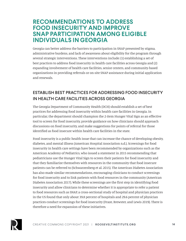### **RECOMMENDATIONS TO ADDRESS FOOD INSECURITY AND IMPROVE SNAP PARTICIPATION AMONG ELIGIBLE INDIVIDUALS IN GEORGIA**

Georgia can better address the barriers to participation in SNAP presented by stigma, administrative burdens, and lack of awareness about eligibility for the program through several strategic interventions. These interventions include: (1) establishing a set of best practices to address food insecurity in health care facilities across Georgia and (2) expanding involvement of health care facilities, senior centers, and community-based organizations in providing referrals or on-site SNAP assistance during initial application and renewals.

### ESTABLISH BEST PRACTICES FOR ADDRESSING FOOD INSECURITY IN HEALTH CARE FACILITIES ACROSS GEORGIA

The Georgia Department of Community Health (DCH) should establish a set of best practices for addressing food insecurity within health care facilities in Georgia. In particular, the department should champion the 2-item Hunger Vital Sign as an effective tool to screen for food insecurity, provide guidance on how clinicians should approach discussions on food insecurity, and make suggestions for points of referral for those identified as food insecure within health care facilities in the state.

Food insecurity is a public health issue that can increase the chance of developing obesity, diabetes, and mental illness (American Hospital Association n.d.). Screenings for food insecurity in health care settings have been recommended by organizations such as the American Academy of Pediatrics, who issued a statement in 2015 recommending that pediatricians use the Hunger Vital Sign to screen their patients for food insecurity and that they familiarize themselves with resources in the community that food insecure patients can be referred to (Schwarzenberg et al. 2015). The American Diabetes Association has also made similar recommendations, encouraging clinicians to conduct screenings for food insecurity and to link patients with food resources in the community (American Diabetes Association 2017). While these screenings are the first step in identifying food insecurity and allow clinicians to determine whether it is appropriate to refer a patient to food resources such as SNAP, a cross-sectional study of hospital and physician practices in the US found that only about 39.8 percent of hospitals and 29.6 percent of physician practices conduct screenings for food insecurity (Fraze, Brewster, and Lewis 2019). There is therefore a need for expansion of these initiatives.

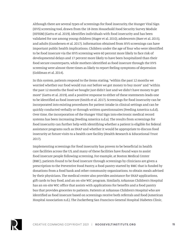Although there are several types of screenings for food insecurity, the Hunger Vital Sign (HVS) screening tool, drawn from the 18-item Household Food Security Survey Module (HFSSM) (Gattu et al. 2019), identifies individuals with food insecurity and has been validated for use among young children (Hager et al. 2010), adolescents (Baer et al. 2015), and adults (Gundersen et al. 2017). Information obtained from HVS screenings can have important public health implications. Children under the age of four who were identified to be food insecure via the HVS screening were 60 percent more likely to face risk of developmental delays and 17 percent more likely to have been hospitalized than their food secure counterparts, while mothers identified as food insecure through the HVS screening were almost three times as likely to report feeling symptoms of depression (Goldman et al. 2014).

In this system, patients respond to the items stating, "within the past 12 months we worried whether our food would run out before we got money to buy more" and "within the past 12 months the food we bought just didn't last and we didn't have money to get more" (Gattu et al. 2019), and a positive response to either of these statements leads one to be identified as food insecure (Smith et al. 2017). Screenings for food insecurity can be incorporated into existing procedures for patient intake in clinical settings and can be quickly conducted verbally or through written questionnaires (Feeding America n.d.d). Over time, the incorporation of the Hunger Vital Sign into electronic medical record systems has been increasing (Feeding America n.d.a). The results from screenings for food insecurity can further help with identifying whether a patient is eligible for federal assistance programs such as SNAP and whether it would be appropriate to discuss food insecurity at future visits to a health care facility (Health Research & Educational Trust 2017).

Implementing screenings for food insecurity has proven to be beneficial in health care facilities across the US, and many of these facilities have found ways to assist food insecure people following screening. For example, at Boston Medical Center (BMC), patients found to be food insecure through screenings by clinicians are given a prescription to the Preventive Food Pantry, a food pantry started by BMC that is funded by donations from a food bank and other community organizations, to obtain meals advised by their physicians. The medical center also provides assistance for SNAP applications, gift cards to buy food, and an on-site WIC program. Similarly, Arkansas Children's Hospital has an on-site WIC office that assists with applications for benefits and a food pantry bus that provides groceries to patients. Patients at Arkansas Children's Hospital who are identified as food insecure based on screenings receive both referrals and food (American Hospital Association n.d.). The Zuckerberg San Francisco General Hospital Diabetes Clinic,

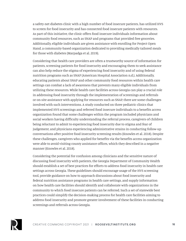a safety-net diabetes clinic with a high number of food insecure patients, has utilized HVS to screen for food insecurity and has connected food insecure patients with resources. As part of this initiative, the clinic offers food insecure individuals information about community food resources, such as SNAP and programs that provided free groceries. Additionally, eligible individuals are given assistance with enrolling for Project Open Hand, a community-based organization dedicated to providing medically tailored meals for those with diabetes (Marpadga et al. 2019).

Considering that health care providers are often a trustworthy source of information for patients, screening patients for food insecurity and encouraging them to seek assistance can also help reduce the stigma of experiencing food insecurity and of using federal nutrition programs such as SNAP (American Hospital Association n.d.). Additionally, educating patients about SNAP and other community food resources within health care settings can combat a lack of awareness that prevents many eligible individuals from utilizing these resources. While health care facilities across Georgia can play a crucial role in addressing food insecurity through the implementation of screenings and referrals or on-site assistance with applying for resources such as SNAP, there are some challenges involved with such interventions. A study conducted on three pediatric clinics that implemented HVS screenings and referred food insecure individuals to a benefits access organization found that some challenges within the program included physicians and social workers having difficulty understanding the referral process, caregivers of children being reluctant to admit to experiencing food insecurity due to stigma and fear of judgement, and physicians experiencing administrative strains in conducting follow-up conversations after positive food insecurity screening results (Knowles et al. 2018). Despite these challenges, caregivers who applied for benefits via the benefits access organization were able to avoid visiting county assistance offices, which they described in a negative manner (Knowles et al. 2018).

Considering the potential for confusion among clinicians and the sensitive nature of discussing food insecurity with patients, the Georgia Department of Community Health should establish a set of best practices for efforts to address food insecurity in health care settings across Georgia. These guidelines should encourage usage of the HVS screening tool, provide guidance on how to approach discussions about food insecurity and federal nutrition assistance programs in health care settings, and supply information on how health care facilities should identify and collaborate with organizations in the community to which food insecure patients can be referred. Such a set of statewide best practices could simplify the decision-making process for health care facilities aiming to address food insecurity and promote greater involvement of these facilities in conducting screenings and referrals across Georgia.

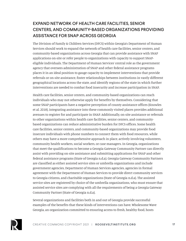### EXPAND NETWORK OF HEALTH CARE FACILITIES, SENIOR CENTERS, AND COMMUNITY-BASED ORGANIZATIONS PROVIDING ASSISTANCE FOR SNAP ACROSS GEORGIA

The Division of Family & Children Services (DFCS) within Georgia's Department of Human Services should work to expand the network of health care facilities, senior centers, and community-based organizations across Georgia that can provide assistance with SNAP applications on-site or refer people to organizations with capacity to support SNAPeligible individuals. The Department of Human Services' central role as the government agency that oversees administration of SNAP and other federal assistance programs places it in an ideal position to gauge capacity to implement interventions that provide referrals or on-site assistance, foster relationships between institutions in vastly different geographical locations across the state, and identify regions of the state in which further interventions are needed to combat food insecurity and increase participation in SNAP.

Health care facilities, senior centers, and community-based organizations can reach individuals who may not otherwise apply for benefits by themselves. Considering that some SNAP participants have a negative perception of county assistance offices (Knowles et al. 2018), integrating assistance into these commonly visited places provides additional avenues to register for and participate in SNAP. Additionally, on-site assistance or referrals to other organizations within health care facilities, senior centers, and communitybased organizations can reduce administrative burden for DFCS offices. Some health care facilities, senior centers, and community-based organizations may provide food insecure individuals with phone numbers to connect them with food resources, while others may have a more comprehensive approach in place, actively involving volunteers, community health workers, social workers, or case managers. In Georgia, organizations that meet the qualifications to become a Georgia Gateway Community Partner can directly assist with providing on-site assistance and submitting applications for SNAP and other federal assistance programs (State of Georgia n.d.a). Georgia Gateway Community Partners are classified as either assisted service sites or umbrella organizations and include government agencies, Department of Human Services agencies, agencies in formal agreement with the Department of Human Services to provide direct community services to Georgia citizens, and charitable organizations (State of Georgia n.d.a). The assisted service sites are registered by choice of the umbrella organizations, who must ensure that assisted service sites are complying with all the requirements of being a Georgia Gateway Community Partner (State of Georgia n.d.a).

Several organizations and facilities both in and out of Georgia provide successful examples of the benefits that these kinds of interventions can have. Wholesome Wave Georgia, an organization committed to ensuring access to fresh, healthy food, hosts

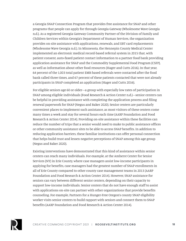a Georgia SNAP Connection Program that provides free assistance for SNAP and other programs that people can apply for through Georgia Gateway (Wholesome Wave Georgia n.d.). As a registered Georgia Gateway Community Partner of the Division of Family and Children Services within Georgia's Department of Human Services, the organization provides on-site assistance with applications, renewals, and EBT card replacements (Wholesome Wave Georgia n.d.). In Minnesota, the Hennepin County Medical Center implemented an electronic medical record-based referral system in 2015 that, with patient consent, auto-faxed patient contact information to a partner food bank providing application assistance for SNAP and the Commodity Supplemental Food Program (CSFP), as well as information about other food resources (Hager and Cutts 2016). In that year, 64 percent of the 1,003 total patient EMR-based referrals were contacted after the food bank called three times, and 67 percent of these patients contacted that were not already participants in SNAP completed an application (Hager and Cutts 2016).

For eligible seniors age 60 or older—a group with especially low rates of participation in SNAP among eligible individuals (Food Research & Action Center n.d.)—senior centers can be helpful in providing assistance with completing the application process and filing renewal paperwork for SNAP (Negus and Baker 2020). Senior centers are particularly convenient places to implement such assistance, as most visitors of these centers come many times a week and stay for several hours each time (AARP Foundation and Food Research & Action Center 2014). Providing on-site assistance within these facilities can reduce the number of trips that a senior would need to make to public assistance offices or other community assistance sites to be able to access SNAP benefits. In addition to reducing application barriers, these familiar institutions can offer personal connection that helps build trust and lessen negative perceptions of SNAP among this age group (Negus and Baker 2020).

Existing interventions have demonstrated that this kind of assistance within senior centers can reach many individuals. For example, at the Amherst Center for Senior Services (NY) in Erie County, where case managers assist low-income participants in applying for benefits, case managers had the greatest number of SNAP enrollments in all of Erie County compared to other county case management teams in 2013 (AARP Foundation and Food Research & Action Center 2014). However, SNAP assistance for seniors can vary between different senior centers, depending on their capacity to support low-income individuals. Senior centers that do not have enough staff to assist with applications on-site can partner with other organizations that provide benefits counseling. For example, Partners for a Hunger-Free Oregon's county SNAP eligibility worker visits senior centers to build rapport with seniors and connect them to SNAP benefits (AARP Foundation and Food Research & Action Center 2014).

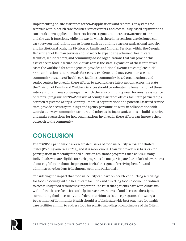Implementing on-site assistance for SNAP applications and renewals or systems for referrals within health care facilities, senior centers, and community-based organizations can break down application barriers, lessen stigma, and increase awareness of SNAP and the way it functions. While the way in which these interventions are designed can vary between institutions due to factors such as building space, organizational capacity, and institutional goals, the Division of Family and Children Services within the Georgia Department of Human Services should work to expand the volume of health care facilities, senior centers, and community-based organizations that can provide this assistance to food insecure individuals across the state. Expansion of these initiatives eases the workload for state agencies, provides additional avenues to complete initial SNAP applications and renewals for Georgia residents, and may even increase the community presence of health care facilities, community-based organizations, and senior centers involved in these efforts. To expand these interventions across the state, the Division of Family and Children Services should coordinate implementation of these interventions in areas of Georgia in which there is community need for on-site assistance or referral programs for SNAP outside of county assistance offices, facilitate partnerships between registered Georgia Gateway umbrella organizations and potential assisted service sites, provide necessary trainings and agency personnel to work in collaboration with Georgia Gateway Community Partners and other assisting organizations to build capacity, and make suggestions for how organizations involved in these efforts can improve their outreach to the community.

# **CONCLUSION**

The COVID-19 pandemic has exacerbated issues of food insecurity across the United States (Feeding America 2021a), and it is more crucial than ever to address barriers for participation in federally funded nutrition assistance programs such as SNAP. Many individuals who are eligible for such programs do not participate due to lack of awareness about eligibility or about the program itself, the stigma of receiving benefits, and administrative burdens (FitzSimons, Weill, and Parker n.d.).

Considering the impact that food insecurity can have on health, conducting screenings for food insecurity within health care facilities and directing food insecure individuals to community food resources is important. The trust that patients have with clinicians within health care facilities can help increase awareness of and decrease the stigma surrounding food insecurity and federal nutrition assistance programs. The Georgia Department of Community Health should establish statewide best practices for health care facilities aiming to address food insecurity, including promoting use of the 2-item

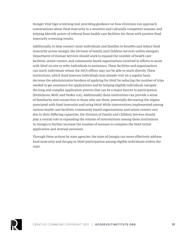Hunger Vital Sign screening tool, providing guidance on how clinicians can approach conversations about food insecurity in a sensitive and culturally competent manner, and helping identify points of referral from health care facilities for those with positive food insecurity screening results.

Additionally, to help connect more individuals and families to benefits and reduce food insecurity across Georgia, the Division of Family and Children Services within Georgia's Department of Human Services should work to expand the number of health care facilities, senior centers, and community-based organizations involved in efforts to assist with SNAP on-site or refer individuals to assistance. These facilities and organizations can reach individuals whom the DFCS offices may not be able to reach directly. These institutions, which food insecure individuals may already visit on a regular basis, decrease the administrative burdens of applying for SNAP by reducing the number of trips needed to get assistance for applications and by helping eligible individuals navigate the long and complex application process that can be a major barrier to participation (FitzSimons, Weill, and Parker n.d.). Additionally, these institutions can provide a sense of familiarity and connection to those who use them, potentially decreasing the stigma associated with food insecurity and using SNAP. While interventions implemented among various health care facilities, community-based organizations, and senior centers vary due to their differing capacities, the Division of Family and Children Services should play a central role in expanding the volume of interventions among these institutions in Georgia to further increase the number of avenues to complete the SNAP initial application and renewal processes.

Through these actions by state agencies, the state of Georgia can more effectively address food insecurity and the gap in SNAP participation among eligible individuals within the state.

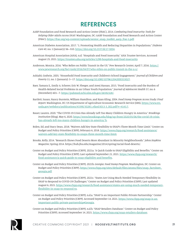# **REFERENCES**

- AARP Foundation and Food Research and Action Center (FRAC). 2014. *Combating Food Insecurity: Tools for Helping Older Adults Access SNAP*. Washington, DC: AARP Foundation and Food Research and Action Center (FRAC). [https://frac.org/wp-content/uploads/senior\\_snap\\_toolkit\\_aarp\\_frac-1.pdf.](https://frac.org/wp-content/uploads/senior_snap_toolkit_aarp_frac-1.pdf)
- American Diabetes Association. 2017. "1. Promoting Health and Reducing Disparities in Populations." *Diabetes Care 40*, no. 1 (January): S6–S10. <https://doi.org/10.2337/dc17-S004>.
- American Hospital Association (AHA). n.d. "Hospitals and Food Insecurity." AHA Trustee Services. Accessed August 25, 2021.<https://trustees.aha.org/articles/1299-hospitals-and-food-insecurity>.
- Anderson, Monica. 2016. "Who Relies on Public Transit in the US." Pew Research Center, April 7, 2016. [https://](https://www.pewresearch.org/fact-tank/2016/04/07/who-relies-on-public-transit-in-the-u-s/) [www.pewresearch.org/fact-tank/2016/04/07/who-relies-on-public-transit-in-the-u-s/.](https://www.pewresearch.org/fact-tank/2016/04/07/who-relies-on-public-transit-in-the-u-s/)
- Ashiabi, Godwin. 2005. "Household Food Insecurity and Children's School Engagement." *Journal of Children and Poverty* 11, no. 1 (January): 3–17. [https://doi.org/10.1080/1079612042000333027.](https://doi.org/10.1080/1079612042000333027)
- Baer, Tamara E., Emily A. Scherer, Eric W. Fleeger, and Areej Hassan. 2015. "Food Insecurity and the Burden of Health-Related Social Problems in an Urban Youth Population." *Journal of Adolescent Health* 57, no. 6 (December): 601–7. [https://pubmed.ncbi.nlm.nih.gov/26592328/.](https://pubmed.ncbi.nlm.nih.gov/26592328/)
- Bartlett, Susan, Nancy Burstein, William Hamilton, and Ryan Kling. 2004. *Food Stamp Program Access Study: Final Report*. Washington, DC: US Department of Agriculture Economic Research Service (ERS). [https://www.ers.](https://www.ers.usda.gov/webdocs/publications/43390/30283_efan03013-3_002.pdf?v=4143.7) [usda.gov/webdocs/publications/43390/30283\\_efan03013-3\\_002.pdf?v=4143.7](https://www.ers.usda.gov/webdocs/publications/43390/30283_efan03013-3_002.pdf?v=4143.7).
- Bauer, Lauren. 2020. "The COVID-19 Crisis Has Already Left Too Many Children Hungry in America." *Brookings Institution* (blog). May 6, 2020. [https://www.brookings.edu/blog/up-front/2020/05/06/the-covid-19-crisis](https://www.brookings.edu/blog/up-front/2020/05/06/the-covid-19-crisis-has-already-left-too-many-children-hungry-in-america/ h)[has-already-left-too-many-children-hungry-in-america/ h.](https://www.brookings.edu/blog/up-front/2020/05/06/the-covid-19-crisis-has-already-left-too-many-children-hungry-in-america/ h)
- Bolen, Ed, and Stacy Dean. 2018. "Waivers Add Key State Flexibility to SNAP's Three-Month Time Limit." Center on Budget and Policy Priorities (CBPP), February 6, 2018. [https://www.cbpp.org/research/food-assistance/](https://www.cbpp.org/research/food-assistance/waivers-add-key-state-flexibility-to-snaps-three-month-time-limit) [waivers-add-key-state-flexibility-to-snaps-three-month-time-limit.](https://www.cbpp.org/research/food-assistance/waivers-add-key-state-flexibility-to-snaps-three-month-time-limit)
- Brooks, Kelly. 2014. "Research Shows Food Deserts More Abundant in Minority Neighborhoods." *Johns Hopkins Magazine*, Spring 2014. https://hub.jhu.edu/magazine/2014/spring/racial-food-deserts/.
- Center on Budget and Policy Priorities (CBPP). 2021a. "A Quick Guide to SNAP Eligibility and Benefits." Center on Budget and Policy Priorities (CBPP). Last updated September 21, 2021. [https://www.cbpp.org/research/](https://www.cbpp.org/research/food-assistance/a-quick-guide-to-snap-eligibility-and-benefits) [food-assistance/a-quick-guide-to-snap-eligibility-and-benefits.](https://www.cbpp.org/research/food-assistance/a-quick-guide-to-snap-eligibility-and-benefits)
- Center on Budget and Policy Priorities (CBPP). 2021b. *Georgia: Food Stamp Program*. Washington, DC: Center on Budget and Policy Priorities (CBPP). [https://www.cbpp.org/sites/default/files/atoms/files/snap\\_factsheet\\_](https://www.cbpp.org/sites/default/files/atoms/files/snap_factsheet_georgia.pdf) [georgia.pdf](https://www.cbpp.org/sites/default/files/atoms/files/snap_factsheet_georgia.pdf).
- Center on Budget and Policy Priorities (CBPP). 2021c. "States Are Using Much-Needed Temporary Flexibility in SNAP to Respond to COVID-19 Challenges." Center on Budget and Policy Priorities (CBPP). Last updated August 6, 2021. [https://www.cbpp.org/research/food-assistance/states-are-using-much-needed-temporary](https://www.cbpp.org/research/food-assistance/states-are-using-much-needed-temporary-flexibility-in-snap-to-respond-to)[flexibility-in-snap-to-respond-to.](https://www.cbpp.org/research/food-assistance/states-are-using-much-needed-temporary-flexibility-in-snap-to-respond-to)
- Center on Budget and Policy Priorities (CBPP). n.d.a. "SNAP Is an Important Public-Private Partnership." Center on Budget and Policy Priorities (CBPP). Accessed September 14, 2021. [https://www.cbpp.org/snap-is-an](https://www.cbpp.org/snap-is-an-important-public-private-partnership#Georgia)[important-public-private-partnership#Georgia.](https://www.cbpp.org/snap-is-an-important-public-private-partnership#Georgia)
- Center on Budget and Policy Priorities (CBPP). n.d.b. "SNAP Retailers Database." Center on Budget and Policy Priorities (CBPP). Accessed September 14, 2021. [https://www.cbpp.org/snap-retailers-database.](https://www.cbpp.org/snap-retailers-database)

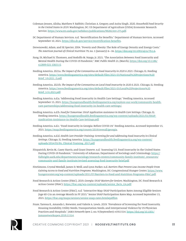- Coleman-Jensen, Alisha, Matthew P. Rabbitt, Christian A. Gregory, and Anita Singh. 2020. *Household Food Security in the United States in 2019*. Washington, DC: US Department of Agriculture (USDA) Economic Research Service. [https://www.ers.usda.gov/webdocs/publications/99282/err-275.pdf.](https://www.ers.usda.gov/webdocs/publications/99282/err-275.pdf)
- DC Department of Human Services. n.d. "Recertification for Benefits." Department of Human Services. Accessed September 10, 2021. [https://dhs.dc.gov/service/recertification-benefits.](https://dhs.dc.gov/service/recertification-benefits)
- Drewnowski, Adam, and SE Specter. 2004. "Poverty and Obesity: The Role of Energy Density and Energy Costs." *The American Journal of Clinical Nutrition* 79, no. 1 (January): 6–16. <https://doi.org/10.1093/ajcn/79.1.6>.
- Fang, Di, Michael R. Thomsen, and Rodolfo M. Nayga, Jr. 2021. "The Association Between Food Insecurity and Mental Health During the COVID-19 Pandemic." *BMC Public Health* 21, (March). [https://doi.org/10.1186/](https://doi.org/10.1186/s12889-021-10631-0) [s12889-021-10631-0](https://doi.org/10.1186/s12889-021-10631-0).
- Feeding America. 2021a. *The Impact of the Coronavirus on Food Insecurity in 2020 & 2021*. Chicago, IL: Feeding America. [https://www.feedingamerica.org/sites/default/files/2021-03/National%20Projections%20](https://www.feedingamerica.org/sites/default/files/2021-03/National%20Projections%20Brief_3.9.2021_0.pdf) [Brief\\_3.9.2021\\_0.pdf.](https://www.feedingamerica.org/sites/default/files/2021-03/National%20Projections%20Brief_3.9.2021_0.pdf)
- Feeding America. 2021b. *The Impact of the Coronavirus on Local Food Insecurity in 2020 & 2021*. Chicago, IL: Feeding America. [https://www.feedingamerica.org/sites/default/files/2021-03/Local%20Projections%20](https://www.feedingamerica.org/sites/default/files/2021-03/Local%20Projections%20Brief_3.31.2021.pdf) [Brief\\_3.31.2021.pdf.](https://www.feedingamerica.org/sites/default/files/2021-03/Local%20Projections%20Brief_3.31.2021.pdf)
- Feeding America. n.d.a. "Addressing Food Insecurity in Health Care Settings." Feeding America. Accessed September 15, 2021. [https://hungerandhealth.feedingamerica.org/explore-our-work/community-health](https://hungerandhealth.feedingamerica.org/explore-our-work/community-health-care-partnerships/addressing-food-insecurity-in-health-care-settings/)[care-partnerships/addressing-food-insecurity-in-health-care-settings/](https://hungerandhealth.feedingamerica.org/explore-our-work/community-health-care-partnerships/addressing-food-insecurity-in-health-care-settings/).
- Feeding America. n.d.b. *Food for Tomorrow: SNAP Application Assistance in Health Care Settings*. Chicago, IL: Feeding America. [https://hungerandhealth.feedingamerica.org/wp-content/uploads/2021/01/SNAP-](https://hungerandhealth.feedingamerica.org/wp-content/uploads/2021/01/SNAP-Application-Assistance-in-Health-Care-Settings.pdf)[Application-Assistance-in-Health-Care-Settings.pdf.](https://hungerandhealth.feedingamerica.org/wp-content/uploads/2021/01/SNAP-Application-Assistance-in-Health-Care-Settings.pdf)
- Feeding America. n.d.c. "Food Insecurity in Georgia: Before COVID-19." Feeding America. Accessed September 15, 2021. [https://map.feedingamerica.org/county/2019/overall/georgia.](https://map.feedingamerica.org/county/2019/overall/georgia)
- Feeding America. n.d.d. *Health Care Provider Training: Screening for and Addressing Food Insecurity in Clinical Settings*. Chicago, IL: Feeding America. [https://hungerandhealth.feedingamerica.org/wp-content/](https://hungerandhealth.feedingamerica.org/wp-content/uploads/2014/05/FA_Clinical-Training_2017.pdf) [uploads/2014/05/FA\\_Clinical-Training\\_2017.pdf](https://hungerandhealth.feedingamerica.org/wp-content/uploads/2014/05/FA_Clinical-Training_2017.pdf).
- Fitzpatrick, Kevin M., Casey Harris, and Grant Drawve. n.d. "Assessing U.S. Food Insecurity in the United States During COVID-19 Pandemic." University of Arkansas, Department of Sociology and Criminology. [https://](https://fulbright.uark.edu/departments/sociology/research-centers/community-family-institute/_resources/community-and-family-institute/revised-assessing-food-insecurity-brief.pdf) [fulbright.uark.edu/departments/sociology/research-centers/community-family-institute/\\_resources/](https://fulbright.uark.edu/departments/sociology/research-centers/community-family-institute/_resources/community-and-family-institute/revised-assessing-food-insecurity-brief.pdf) [community-and-family-institute/revised-assessing-food-insecurity-brief.pdf.](https://fulbright.uark.edu/departments/sociology/research-centers/community-family-institute/_resources/community-and-family-institute/revised-assessing-food-insecurity-brief.pdf)
- FitzSimons, Crystal Weedall, James D. Weill, and Lynn Parker. n.d. *Barriers That Prevent Low-Income People From Gaining Access to Food and Nutrition Programs*. Washington, DC: Congressional Hunger Center. [https://www.](https://www.hungercenter.org/wp-content/uploads/2011/07/Barriers-to-Food-and-Nutrition-Programs-FRAC.pdf) [hungercenter.org/wp-content/uploads/2011/07/Barriers-to-Food-and-Nutrition-Programs-FRAC.pdf.](https://www.hungercenter.org/wp-content/uploads/2011/07/Barriers-to-Food-and-Nutrition-Programs-FRAC.pdf)
- Food Research & Action Center (FRAC). 2019. *Georgia: SNAP Matters for Seniors*. Washington, DC: Food Research & Action Center (FRAC). [https://frac.org/wp-content/uploads/senior\\_facts\\_GA.pdf.](https://frac.org/wp-content/uploads/senior_facts_GA.pdf)
- Food Research & Action Center (FRAC). n.d. "Interactive Map: SNAP Participation Rates Among Eligible Seniors (Age 60+) in an Average Month in FY 2015." Senior SNAP Participation Rates Map. Accessed September 15, 2021. <https://frac.org/maps/seniors/senior-snap-rates.html#pdflist>.
- Fraze, Taressa K., Amanda L. Brewster, and Valerie A. Lewis. 2019. "Prevalence of Screening for Food Insecurity, Housing Instability, Utility Needs, Transportation Needs, and Interpersonal Violence by US Physician Practices and Hospitals." *JAMA Network Open* 2, no. 9 (September): e1911514. [https://doi.org/10.1001/](https://doi.org/10.1001/jamanetworkopen.2019.11514) [jamanetworkopen.2019.11514.](https://doi.org/10.1001/jamanetworkopen.2019.11514)

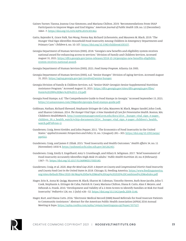- Gaines-Turner, Tianna, Joanna Cruz Simmons, and Mariana Chilton. 2019. "Recommendations From SNAP Participants to Improve Wages and End Stigma." *American Journal of Public Health* 109, no. 12 (December): 1664–7. <https://doi.org/10.2105/AJPH.2019.305362>.
- Gattu, Rajender K., Grace Paik, Yan Wang, Prema Ray, Richard Lichenstein, and Maureen M. Black. 2019. "The Hunger Vital Sign Identifies Household Food Insecurity Among Children in Emergency Departments and Primary Care." *Children* 6, no. 10: 107.<https://doi.org/10.3390/children6100107>.
- Georgia Department of Human Services (DHS). 2018. "Georgia's new benefits and eligibility system receives national award for enhancing access to services." Division of Family and Children Services. Accessed August 31, 2021. [https://dfcs.georgia.gov/press-releases/2018-10-24/georgias-new-benefits-eligibility](https://dfcs.georgia.gov/press-releases/2018-10-24/georgias-new-benefits-eligibility-system-receives-national-award)[system-receives-national-award.](https://dfcs.georgia.gov/press-releases/2018-10-24/georgias-new-benefits-eligibility-system-receives-national-award)

Georgia Department of Human Services (DHS). 2021. *Food Stamp Program*. Atlanta, GA: DHS.

- Georgia Department of Human Services (DHS). n.d. "Senior Hunger." Division of Aging Services. Accessed August 31, 2021. [https://aging.georgia.gov/get-involved/senior-hunger.](https://aging.georgia.gov/get-involved/senior-hunger)
- Georgia Division of Family & Children Services. n.d. "Senior SNAP: Georgia's Senior Supplemental Nutrition Assistance Program." Accessed August 31, 2021. [https://dfcs.georgia.gov/sites/dfcs.georgia.gov/files/](https://dfcs.georgia.gov/sites/dfcs.georgia.gov/files/Form%20299%20(Rev.%20%2011-15).pdf) [Form%20299%20\(Rev.%20%2011-15\).pdf.](https://dfcs.georgia.gov/sites/dfcs.georgia.gov/files/Form%20299%20(Rev.%20%2011-15).pdf)
- Georgia Food Stamps. n.d. "The Comprehensive Guide to Food Stamps in Georgia." Accessed September 15, 2021. <https://s3.amazonaws.com/DMguides/georgia-food-stamps-guide.pdf>.
- Goldman, Nathan, Richard Sheward, Stephanie Ettinger de Cuba, Maureen M. Black, Megan Sandel, John Cook, and Sharon Coleman. 2014. *The Hunger Vital Sign: A New Standard of Care for Preventative Health*. Boston, MA: Children's HealthWatch. [http://contentmanager.med.uvm.edu/docs/2014\\_\\_hunger\\_vital\\_sign\\_4-pager\\_](http://contentmanager.med.uvm.edu/docs/2014__hunger_vital_sign_4-pager_children_39_s_health_watch/vchip-documents/2014__hunger_vital_sign_4-pager_children) [children\\_39\\_s\\_health\\_watch/vchip-documents/2014\\_\\_hunger\\_vital\\_sign\\_4-pager\\_children's\\_health\\_](http://contentmanager.med.uvm.edu/docs/2014__hunger_vital_sign_4-pager_children_39_s_health_watch/vchip-documents/2014__hunger_vital_sign_4-pager_children) [watch.pdf?sfvrsn=2](http://contentmanager.med.uvm.edu/docs/2014__hunger_vital_sign_4-pager_children_39_s_health_watch/vchip-documents/2014__hunger_vital_sign_4-pager_children).
- Gundersen, Craig, Brent Kreider, and John Pepper. 2011. "The Economics of Food Insecurity in the United States." *Applied Economic Perspectives and Policy* 33, no. 3 (August): 281–303. [https://doi.org/10.1093/aepp/](https://doi.org/10.1093/aepp/ppr022) [ppr022.](https://doi.org/10.1093/aepp/ppr022)
- Gundersen, Craig, and James P. Ziliak. 2015. "Food Insecurity and Health Outcomes." *Health Affairs* 34, no. 11 (November): 1830-9.<https://pubmed.ncbi.nlm.nih.gov/26526240/>.
- Gundersen, Craig, Emily E. Engelhard, Amy S. Crumbaugh, and Hilary K. Seligman. 2017. "Brief Assessment of Food Insecurity Accurately Identifies High-Risk US Adults." *Public Health Nutrition* 20, no. 8 (February): 1367–71. [https://doi.org/10.1017/S1368980017000180.](https://doi.org/10.1017/S1368980017000180)
- Gundersen, Craig, et al. 2020. *Map the Meal Gap 2020: A Report on County and Congressional District Food Insecurity and County Food Cost in the United States in 2018*. Chicago, IL: Feeding America. [https://www.feedingamerica.](https://www.feedingamerica.org/sites/default/files/2020-06/Map%20the%20Meal%20Gap%202020%20Combined%20Modules.pdf) [org/sites/default/files/2020-06/Map%20the%20Meal%20Gap%202020%20Combined%20Modules.pdf](https://www.feedingamerica.org/sites/default/files/2020-06/Map%20the%20Meal%20Gap%202020%20Combined%20Modules.pdf).
- Hager, Erin R., Anna M. Quigg, Maureen M. Black, Sharon M. Coleman, Timothy Heeren, Ruth Rose-Jacobs, John T. Cook, Stephanie A. Ettinger de Cuba, Patrick H. Casey, Mariana Chilton, Diana B. Cutts, Alan F. Meyers, and Deborah A. Frank. 2010. "Development and Validity of a 2-Item Screen to Identify Families At Risk For Food Insecurity." *Pediatrics* 126, no. 1 (July): e26–32.<https://doi.org/10.1542/peds.2009-3146>.
- Hager, Kurt, and Diana Cutts. 2016. "Electronic Medical Record (EMR) Based Referrals for Food Insecure Patients to Community Assistance." Abstract for the American Public Health Association (APHA) 2016 Annual Meeting & Expo. [https://apha.confex.com/apha/144am/meetingapp.cgi/Paper/357527.](https://apha.confex.com/apha/144am/meetingapp.cgi/Paper/357527)

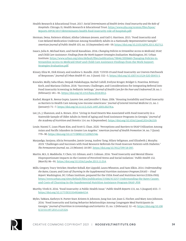- Health Research & Educational Trust. 2017. *Social Determinants of Health Series: Food Insecurity and the Role of Hospitals*. Chicago, IL: Health Research & Educational Trust. [https://www.aha.org/system/files/hpoe/](https://www.aha.org/system/files/hpoe/Reports-HPOE/2017/determinants-health-food-insecurity-role-of-hospitals.pdf) [Reports-HPOE/2017/determinants-health-food-insecurity-role-of-hospitals.pdf](https://www.aha.org/system/files/hpoe/Reports-HPOE/2017/determinants-health-food-insecurity-role-of-hospitals.pdf).
- Herman, Dena, Patience Afulani, Alisha Coleman-Jensen, and Gail G. Harrison. 2015. "Food Insecurity and Cost-Related Medication Underuse Among Nonelderly Adults in a Nationally Representative Sample." *American Journal of Public Health* 105, no. 10 (September): e48–59. [https://doi.org/10.2105/AJPH.2015.302712.](https://doi.org/10.2105/AJPH.2015.302712)
- Isaacs, Julia B., Michael Katz, and David Kassabian. 2016. *Changing Policies to Streamline Access to Medicaid, SNAP, and Child Care Assistance: Findings from the Work Support Strategies Evaluation*. Washington, DC: Urban Institute. [https://www.urban.org/sites/default/files/publication/78846/2000668-Changing-Policies-to-](https://www.urban.org/sites/default/files/publication/78846/2000668-Changing-Policies-to-Streamline-Access-to-Medicaid-SNAP-and-Child-Care-Assistance-Findings-from-the-Work-Support-Strategies-Evaluation.pdf)[Streamline-Access-to-Medicaid-SNAP-and-Child-Care-Assistance-Findings-from-the-Work-Support-](https://www.urban.org/sites/default/files/publication/78846/2000668-Changing-Policies-to-Streamline-Access-to-Medicaid-SNAP-and-Child-Care-Assistance-Findings-from-the-Work-Support-Strategies-Evaluation.pdf)[Strategies-Evaluation.pdf.](https://www.urban.org/sites/default/files/publication/78846/2000668-Changing-Policies-to-Streamline-Access-to-Medicaid-SNAP-and-Child-Care-Assistance-Findings-from-the-Work-Support-Strategies-Evaluation.pdf)
- Kinsey, Eliza W., Dirk Kinsey, and Andrew G. Rundle. 2020. "COVID-19 and Food Insecurity: an Uneven Patchwork of Responses." *Journal of Urban Health* 97, no. 3 (June): 332–5. [https://doi.org/10.1007/s11524-020-00455-5.](https://doi.org/10.1007/s11524-020-00455-5)
- Knowles, Molly, Saba Khan, Deepak Palakshappa, Rachel Cahill, Evelyne Kruger, Bridget G. Poserina, Brittany Koch, and Mariana Chilton. 2018. "Successes, Challenges, and Considerations for Integrating Referral into Food Insecurity Screening in Pediatric Settings." *Journal of Health Care for the Poor and Undeserved* 29, no. 1 (February): 181–91.<https://doi.org/10.1353/hpu.2018.0012>.
- Kushel, Margot B., Reena Gupta, Lauren Gee, and Jennifer S. Haas. 2006. "Housing Instability and Food Insecurity as Barriers to Health Care Among Low-Income Americans." *Journal of General Internal Medicine* 21, no. 1 (January): 71–7.<https://doi.org/10.1111/j.1525-1497.2005.00278.x>.
- Lee, J.S., J. Shannon, and A. Brown. 2014. "Living in Food Deserts Was Associated with Food Insecurity in a Statewide Sample of Older Adults in Need of Aging and Food Assistance Programs in Georgia." *Journal of the Academy of Nutrition and Dietetics* 114, no. 9 (September). <https://doi.org/10.1016/j.jand.2014.06.019>.
- Louie, Naomi T., Loan Pham Kim, and Scott E. Chan. 2020. "Perceptions and Barriers to SNAP Utilization Among Asian and Pacific Islanders in Greater Los Angeles." *American Journal of Health Promotion* 34, no. 7 (June): 779–90. <https://doi.org/10.1177/0890117120925746>.
- Marpadga, Sanjana, Alicia Fernandez, Jamie Leung, Audrey Tang, Hilary Seligman, and Elizabeth J. Murphy. 2019. "Challenges and Successes with Food Resource Referrals for Food-Insecure Patients with Diabetes." *The Permanente Journal*, no. 23 (Winter): 18-097. [https://doi.org/10.7812/TPP/18-097.](https://doi.org/10.7812/TPP/18-097)
- Martin, M.S., E. Maddocks, Y. Chen, S.E. Gilman, and I. Colman. 2016. "Food Insecurity and Mental Illness: Disproportionate Impacts in the Context of Perceived Stress and Social Isolation." *Public Health* 132, (March): 86–91. [https://doi.org/10.1016/j.puhe.2015.11.014.](https://doi.org/10.1016/j.puhe.2015.11.014)
- Mills, Gregory, Tracy Vericker, Heather Koball, Kye Lippold, Laura Wheaton, and Sam Elkin. 2014. *Understanding the Rates, Causes, and Costs of Churning in the Supplemental Nutrition Assistance Program (SNAP) – Final Report*. Washington, DC: Urban Institute, prepared for the USDA Food and Nutrition Service (USDA-FNS). [https://www.urban.org/sites/default/files/publication/33566/413257-Understanding-the-Rates-Causes](https://www.urban.org/sites/default/files/publication/33566/413257-Understanding-the-Rates-Causes-and-Costs-of-Churning-in-the-Supplemental-Nutrition-Assistance-Program-SNAP-.PDF)[and-Costs-of-Churning-in-the-Supplemental-Nutrition-Assistance-Program-SNAP-.PDF](https://www.urban.org/sites/default/files/publication/33566/413257-Understanding-the-Rates-Causes-and-Costs-of-Churning-in-the-Supplemental-Nutrition-Assistance-Program-SNAP-.PDF).
- Murthy, Vivek H. 2016. "Food Insecurity: A Public Health Issue." *Public Health Reports* 131, no. 5 (August): 655–7. [https://doi.org/10.1177/0033354916664154.](https://doi.org/10.1177/0033354916664154)
- Myles, TaMara, Kathryn N. Porter Starr, Kristen B. Johnson, Jung Sun Lee, Joan G. Fischer, and Mary Ann Johnson. 2016. "Food Insecurity and Eating Behavior Relationships Among Congregate Meal Participants in Georgia." *Journal of Nutrition in Gerontology and Geriatrics* 35, no. 1 (February): 32–42. [https://doi.org/10.108](https://doi.org/10.1080/21551197.2015.1125324) [0/21551197.2015.1125324.](https://doi.org/10.1080/21551197.2015.1125324)

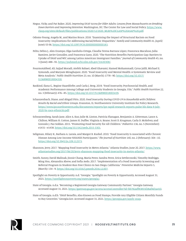- Negus, Vicky, and Pat Baker. 2020. *Improving SNAP Access for Older Adults: Lessons from Massachusetts on Breaking Down Barriers and Improving Retention*. Washington, DC: The Center for Law and Social Policy. [https://www.](https://www.clasp.org/sites/default/files/publications/2020/12/2020_MLRI%20CLASP%20ASAP%20.pdf) [clasp.org/sites/default/files/publications/2020/12/2020\\_MLRI%20CLASP%20ASAP%20.pdf](https://www.clasp.org/sites/default/files/publications/2020/12/2020_MLRI%20CLASP%20ASAP%20.pdf).
- Odoms-Young, Angela M., and Marino Bruce. 2018. "Examining the Impact of Structural Racism on Food Insecurity: Implications for Addressing Racial/Ethnic Disparities." *Family and Community Health* 41, (April/ June): S3-S6.<https://doi.org/10.1097/FCH.0000000000000183>.
- Pelto, Debra J., Alex Ocampo, Olga Garduño-Ortega, Claudia Teresa Barraza López, Francesca Macaluso, Julia Ramirez, Javier González, and Francesca Gany. 2020. "The Nutrition Benefits Participation Gap: Barriers to Uptake of SNAP and WIC among Latinx American Immigrant Families." *Journal of Community Health* 45, no. 3 (June): 488–91. [https://pubmed.ncbi.nlm.nih.gov/31630308/.](https://pubmed.ncbi.nlm.nih.gov/31630308/)
- Pourmotabbed, Ali, Sajjad Moradi, Atefeh Babaei, Abed Ghavami, Hamed Mohammadi, Cyrus Jalili, Michael E. Symonds, and Maryam Miraghajani. 2020. "Food Insecurity and Mental Health: A Systematic Review and Meta-Analysis." *Public Health Nutrition* 23, no. 10 (March) :1778–90. [https://doi.org/10.1017/](https://doi.org/10.1017/S136898001900435X) [S136898001900435X.](https://doi.org/10.1017/S136898001900435X)
- Raskind, Ilana G., Regine Haardörfer, and Carla J. Berg. 2019. "Food Insecurity, Psychosocial Health, and Academic Performance Among College and University Students in Georgia, USA." *Public Health Nutrition* 22, no. 3 (February): 476–85.<https://doi.org/10.1017/S1368980018003439>.
- Schanzenbach, Diane, and Abigail Pitts. 2020. *Food Insecurity During COVID-19 in Households with Children: Results by Racial and Ethnic Groups*. Evanston, IL: Northwestern University Institute for Policy Research. [https://www.ipr.northwestern.edu/documents/reports/ipr-rapid-research-reports-pulse-hh-data-9-july-](https://www.ipr.northwestern.edu/documents/reports/ipr-rapid-research-reports-pulse-hh-data-9-july-2020-by-race-ethnicity.pdf)[2020-by-race-ethnicity.pdf](https://www.ipr.northwestern.edu/documents/reports/ipr-rapid-research-reports-pulse-hh-data-9-july-2020-by-race-ethnicity.pdf).
- Schwarzenberg, Sarah Jane, Alice A. Kuo, Julie M. Linton, Patricia Flanagan, Benjamin A. Gitterman, Lance A. Chilton, William H. Cotton, James H. Duffee, Virginia A. Keane, Scott D. Krugman, Carla D. McKelvey, and Gonzalo J. Paz-Soldan. 2015. "Promoting Food Security for All Children." *Pediatrics* 136, no. 5 (November): e1431–e1438. [https://doi.org/10.1542/peds.2015-3301.](https://doi.org/10.1542/peds.2015-3301)
- Seligman, Hilary K., Barbara A. Laraia, and Margot B. Kushel. 2010. "Food Insecurity Is Associated with Chronic Disease Among Low-Income NHANES Participants." *The Journal of Nutrition* 140, no. 2 (February): 304–10. [https://doi.org/10.3945/jn.109.112573.](https://doi.org/10.3945/jn.109.112573)
- Shannon, Jerry. 2017. "Mapping Food Insecurity in Metro Atlanta." Atlanta Studies, June 20, 2017. [https://www.](https://www.atlantastudies.org/2017/06/20/jerry-shannon-mapping-food-insecurity-in-metro-atlanta/) [atlantastudies.org/2017/06/20/jerry-shannon-mapping-food-insecurity-in-metro-atlanta/](https://www.atlantastudies.org/2017/06/20/jerry-shannon-mapping-food-insecurity-in-metro-atlanta/).
- Smith, Sunny, David Malinak, Jinnie Chang, Maria Perez, Sandra Perez, Erica Settlecowski, Timothy Rodriggs, Ming Hsu, Alexandra Abrew, and Sofia Aedo. 2017. "Implementation of a Food Insecurity Screening and Referral Program in Student-Run Free Clinics in San Diego, California." *Preventive Medicine Reports* 5, (March): 134–9.<https://doi.org/10.1016/j.pmedr.2016.12.007>.
- Spotlight on Poverty & Opportunity. n.d. "Georgia." Spotlight on Poverty & Opportunity. Accessed August 31, 2021. <https://spotlightonpoverty.org/states/georgia/>.
- State of Georgia. n.d.a. "Becoming a Registered Georgia Gateway Community Partner." Georgia Gateway. Accessed August 31, 2021. [https://gateway.ga.gov/access/accessController?id=bb782aff83855f28af4d1a410.](https://gateway.ga.gov/access/accessController?id=bb782aff83855f28af4d1a410)
- State of Georgia. n.d.b. "SNAP Benefits, Also Known as Food Stamps, Provide Any Eligible Citizen Monthly Funds to Buy Groceries." Georgia.Gov. Accessed August 31, 2021. [https://georgia.gov/apply-snap.](https://georgia.gov/apply-snap)

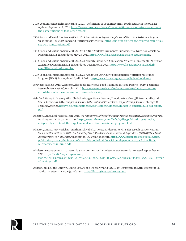- USDA Economic Research Service (ERS). 2021. "Definitions of Food Insecurity." Food Security in the US. Last updated September 8, 2021. [https://www.ers.usda.gov/topics/food-nutrition-assistance/food-security-in](https://www.ers.usda.gov/topics/food-nutrition-assistance/food-security-in-the-us/definitions-of-food-security.aspx)[the-us/definitions-of-food-security.aspx.](https://www.ers.usda.gov/topics/food-nutrition-assistance/food-security-in-the-us/definitions-of-food-security.aspx)
- USDA Food and Nutrition Service (FNS). 2013. *State Options Report: Supplemental Nutrition Assistance Program*. Washington, DC: USDA Food and Nutrition Service (FNS). [https://fns-prod.azureedge.net/sites/default/files/](https://fns-prod.azureedge.net/sites/default/files/snap/11-State_Options.pdf) [snap/11-State\\_Options.pdf](https://fns-prod.azureedge.net/sites/default/files/snap/11-State_Options.pdf).
- USDA Food and Nutrition Service (FNS). 2019. "SNAP Work Requirements." Supplemental Nutrition Assistance Program (SNAP). Last updated May 29, 2019. [https://www.fns.usda.gov/snap/work-requirements.](https://www.fns.usda.gov/snap/work-requirements)
- USDA Food and Nutrition Service (FNS). 2020. "Elderly Simplified Application Project." Supplemental Nutrition Assistance Program (SNAP). Last updated December 16, 2020. [https://www.fns.usda.gov/snap/elderly](https://www.fns.usda.gov/snap/elderly-simplified-application-project)[simplified-application-project](https://www.fns.usda.gov/snap/elderly-simplified-application-project).
- USDA Food and Nutrition Service (FNS). 2021. "What Can SNAP Buy?" Supplemental Nutrition Assistance Program (SNAP). Last updated April 14, 2021.<https://www.fns.usda.gov/snap/eligible-food-items>.
- Ver Ploeg, Michele. 2010. "Access to Affordable, Nutritious Food Is Limited in 'Food Deserts.'" USDA Economic Research Service (ERS), March 1, 2010. [https://www.ers.usda.gov/amber-waves/2010/march/access-to](https://www.ers.usda.gov/amber-waves/2010/march/access-to-affordable-nutritious-food-is-limited-in-food-deserts/)[affordable-nutritious-food-is-limited-in-food-deserts/.](https://www.ers.usda.gov/amber-waves/2010/march/access-to-affordable-nutritious-food-is-limited-in-food-deserts/)
- Weinfield, Nancy S., Gregory Mills, Christine Borger, Maeve Gearing, Theodore Macaluso, Jill Montaquila, and Sheila Zedlewski. 2014. *Hunger in America 2014: National Report Prepared for Feeding America*. Chicago, IL: Feeding America. [http://help.feedingamerica.org/HungerInAmerica/hunger-in-america-2014-full-report.](http://help.feedingamerica.org/HungerInAmerica/hunger-in-america-2014-full-report.pdf) [pdf](http://help.feedingamerica.org/HungerInAmerica/hunger-in-america-2014-full-report.pdf).
- Wheaton, Laura, and Victoria Tran. 2018. *The Antipoverty Effects of the Supplemental Nutrition Assistance Program*. Washington, DC: Urban Institute. [https://www.urban.org/sites/default/files/publication/96521/the\\_](https://www.urban.org/sites/default/files/publication/96521/the_antipoverty_effects_of_the_supplemental_nutrition_assistance_program_4.pdf) [antipoverty\\_effects\\_of\\_the\\_supplemental\\_nutrition\\_assistance\\_program\\_4.pdf.](https://www.urban.org/sites/default/files/publication/96521/the_antipoverty_effects_of_the_supplemental_nutrition_assistance_program_4.pdf)
- Wheaton, Laura, Tracy Vericker, Jonathan Schwabish, Theresa Anderson, Kevin Baier, Joseph Gasper, Nathan Sick, and Kevin Werner. 2021. *The Impact of SNAP Able-Bodied Adults Without Dependents (ABAWD) Time Limit Reinstatement in Nine States*. Washington, DC: Urban Institute. [https://www.urban.org/sites/default/files/](https://www.urban.org/sites/default/files/publication/104451/the-impact-of-snap-able-bodied-adults-without-dependents-abawd-time-limit-reinstatement-in-nin_0.pdf) [publication/104451/the-impact-of-snap-able-bodied-adults-without-dependents-abawd-time-limit](https://www.urban.org/sites/default/files/publication/104451/the-impact-of-snap-able-bodied-adults-without-dependents-abawd-time-limit-reinstatement-in-nin_0.pdf)[reinstatement-in-nin\\_0.pdf](https://www.urban.org/sites/default/files/publication/104451/the-impact-of-snap-able-bodied-adults-without-dependents-abawd-time-limit-reinstatement-in-nin_0.pdf).
- Wholesome Wave Georgia. n.d. "Georgia SNAP Connection." Wholesome Wave Georgia. Accessed September 15, 2021. [https://static1.squarespace.com/](https://static1.squarespace.com/static/54e3786ae4b0c344d00446b1/t/60e74354bae73b28b44d979b/1625768800973/2021+WWG+GSC+Partner+One+Pager.pdf) [static/54e3786ae4b0c344d00446b1/t/60e74354bae73b28b44d979b/1625768800973/2021+WWG+GSC+Partner](https://static1.squarespace.com/static/54e3786ae4b0c344d00446b1/t/60e74354bae73b28b44d979b/1625768800973/2021+WWG+GSC+Partner+One+Pager.pdf) [+One+Pager.pdf](https://static1.squarespace.com/static/54e3786ae4b0c344d00446b1/t/60e74354bae73b28b44d979b/1625768800973/2021+WWG+GSC+Partner+One+Pager.pdf).
- Wolfson, Julia A., and Cindy W. Leung. 2020. "Food Insecurity and COVID-19: Disparities in Early Effects for US Adults." *Nutrients* 12, no. 6 (June): 1648. <https://doi.org/10.3390/nu12061648>.